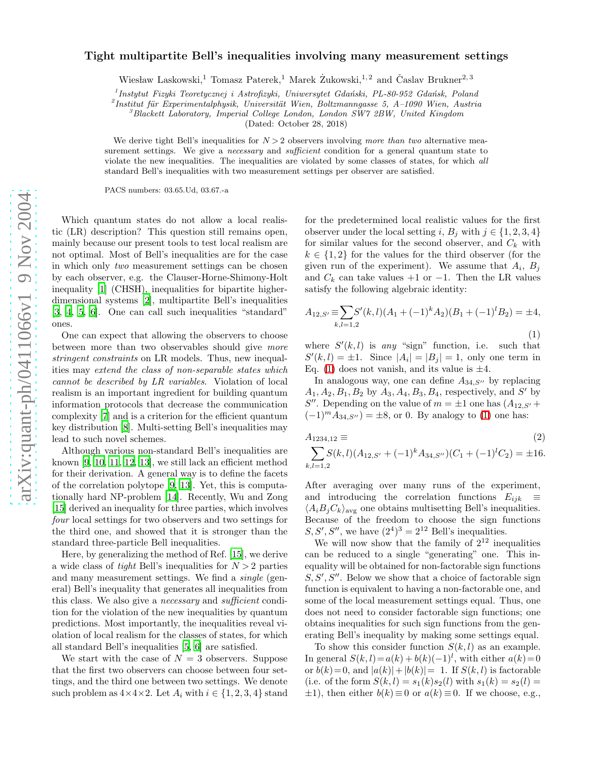## Tight multipartite Bell's inequalities involving many measurement settings

Wiesław Laskowski,<sup>1</sup> Tomasz Paterek,<sup>1</sup> Marek Żukowski,<sup>1,2</sup> and Časlav Brukner<sup>2,3</sup>

<sup>1</sup> Instytut Fizyki Teoretycznej i Astrofizyki, Uniwersytet Gdański, PL-80-952 Gdańsk, Poland

<sup>2</sup> Institut für Experimentalphysik, Universität Wien, Boltzmanngasse 5, A-1090 Wien, Austria<sup>3</sup> Blackett Laboratory, Imperial College London, London SW7 2BW, United Kingdom

(Dated: October 28, 2018)

We derive tight Bell's inequalities for  $N > 2$  observers involving more than two alternative measurement settings. We give a *necessary* and *sufficient* condition for a general quantum state to violate the new inequalities. The inequalities are violated by some classes of states, for which all standard Bell's inequalities with two measurement settings per observer are satisfied.

PACS numbers: 03.65.Ud, 03.67.-a

Which quantum states do not allow a local realistic (LR) description? This question still remains open, mainly because our present tools to test local realism are not optimal. Most of Bell's inequalities are for the case in which only two measurement settings can be chosen by each observer, e.g. the Clauser-Horne-Shimony-Holt inequality [\[1\]](#page-3-0) (CHSH), inequalities for bipartite higherdimensional systems [\[2\]](#page-3-1), multipartite Bell's inequalities [\[3,](#page-3-2) [4](#page-3-3), [5,](#page-3-4) [6](#page-3-5)]. One can call such inequalities "standard" ones.

One can expect that allowing the observers to choose between more than two observables should give more stringent constraints on LR models. Thus, new inequalities may extend the class of non-separable states which cannot be described by LR variables. Violation of local realism is an important ingredient for building quantum information protocols that decrease the communication complexity [\[7\]](#page-3-6) and is a criterion for the efficient quantum key distribution [\[8](#page-3-7)]. Multi-setting Bell's inequalities may lead to such novel schemes.

Although various non-standard Bell's inequalities are known [\[9,](#page-3-8) [10](#page-3-9), [11,](#page-3-10) [12,](#page-3-11) [13](#page-3-12)], we still lack an efficient method for their derivation. A general way is to define the facets of the correlation polytope [\[9,](#page-3-8) [13\]](#page-3-12). Yet, this is computationally hard NP-problem [\[14\]](#page-3-13). Recently, Wu and Zong [\[15\]](#page-3-14) derived an inequality for three parties, which involves four local settings for two observers and two settings for the third one, and showed that it is stronger than the standard three-particle Bell inequalities.

Here, by generalizing the method of Ref. [\[15](#page-3-14)], we derive a wide class of tight Bell's inequalities for  $N > 2$  parties and many measurement settings. We find a single (general) Bell's inequality that generates all inequalities from this class. We also give a necessary and sufficient condition for the violation of the new inequalities by quantum predictions. Most importantly, the inequalities reveal violation of local realism for the classes of states, for which all standard Bell's inequalities [\[5,](#page-3-4) [6\]](#page-3-5) are satisfied.

We start with the case of  $N = 3$  observers. Suppose that the first two observers can choose between four settings, and the third one between two settings. We denote such problem as  $4 \times 4 \times 2$ . Let  $A_i$  with  $i \in \{1, 2, 3, 4\}$  stand

for the predetermined local realistic values for the first observer under the local setting  $i, B_j$  with  $j \in \{1, 2, 3, 4\}$ for similar values for the second observer, and  $C_k$  with  $k \in \{1,2\}$  for the values for the third observer (for the given run of the experiment). We assume that  $A_i$ ,  $B_j$ and  $C_k$  can take values +1 or -1. Then the LR values satisfy the following algebraic identity:

<span id="page-0-0"></span>
$$
A_{12,S'} \equiv \sum_{k,l=1,2} S'(k,l)(A_1 + (-1)^k A_2)(B_1 + (-1)^l B_2) = \pm 4,
$$
\n(1)

where  $S'(k, l)$  is any "sign" function, i.e. such that  $S'(k, l) = \pm 1$ . Since  $|A_i| = |B_j| = 1$ , only one term in Eq. [\(1\)](#page-0-0) does not vanish, and its value is  $\pm 4$ .

In analogous way, one can define  $A_{34, S''}$  by replacing  $A_1, A_2, B_1, B_2$  by  $A_3, A_4, B_3, B_4$ , respectively, and S' by S''. Depending on the value of  $m = \pm 1$  one has  $(A_{12,5'} +$  $(-1)^m A_{34, S''}$  = ±8, or 0. By analogy to [\(1\)](#page-0-0) one has:

<span id="page-0-1"></span>
$$
A_{1234,12} \equiv (2)
$$
  

$$
\sum_{k,l=1,2} S(k,l) (A_{12,S'} + (-1)^k A_{34,S''})(C_1 + (-1)^l C_2) = \pm 16.
$$

After averaging over many runs of the experiment, and introducing the correlation functions  $E_{ijk}$ ≡  $\langle A_i B_j C_k \rangle_{\text{avg}}$  one obtains multisetting Bell's inequalities. Because of the freedom to choose the sign functions  $S, S', S''$ , we have  $(2^4)^3 = 2^{12}$  Bell's inequalities.

We will now show that the family of  $2^{12}$  inequalities can be reduced to a single "generating" one. This inequality will be obtained for non-factorable sign functions  $S, S', S''$ . Below we show that a choice of factorable sign function is equivalent to having a non-factorable one, and some of the local measurement settings equal. Thus, one does not need to consider factorable sign functions; one obtains inequalities for such sign functions from the generating Bell's inequality by making some settings equal.

To show this consider function  $S(k, l)$  as an example. In general  $S(k, l) = a(k) + b(k)(-1)^l$ , with either  $a(k) = 0$ or  $b(k)=0$ , and  $|a(k)|+|b(k)|=1$ . If  $S(k, l)$  is factorable (i.e. of the form  $S(k, l) = s_1(k)s_2(l)$  with  $s_1(k) = s_2(l)$  $\pm 1$ ), then either  $b(k) \equiv 0$  or  $a(k) \equiv 0$ . If we choose, e.g.,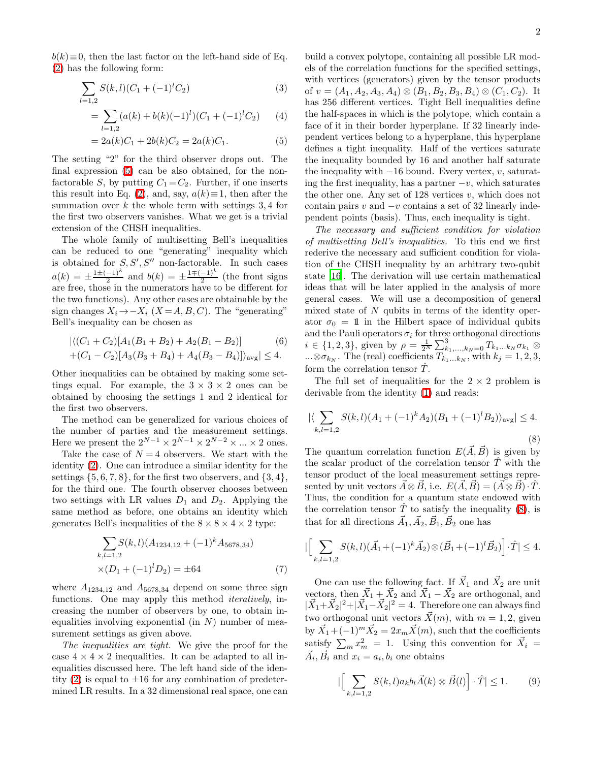<span id="page-1-0"></span> $b(k) \equiv 0$ , then the last factor on the left-hand side of Eq. [\(2\)](#page-0-1) has the following form:

$$
\sum_{l=1,2} S(k,l)(C_1 + (-1)^l C_2)
$$
\n(3)

$$
= \sum_{l=1,2} (a(k) + b(k)(-1)^l)(C_1 + (-1)^l C_2)
$$
 (4)

$$
= 2a(k)C_1 + 2b(k)C_2 = 2a(k)C_1.
$$
 (5)

The setting "2" for the third observer drops out. The final expression [\(5\)](#page-1-0) can be also obtained, for the nonfactorable S, by putting  $C_1 = C_2$ . Further, if one inserts this result into Eq. [\(2\)](#page-0-1), and, say,  $a(k) \equiv 1$ , then after the summation over  $k$  the whole term with settings 3,4 for the first two observers vanishes. What we get is a trivial extension of the CHSH inequalities.

The whole family of multisetting Bell's inequalities can be reduced to one "generating" inequality which is obtained for  $S, S', S''$  non-factorable. In such cases  $a(k) = \pm \frac{1 \pm (-1)^k}{2}$  $\frac{(-1)^k}{2}$  and  $b(k) = \pm \frac{1 \mp (-1)^k}{2}$  $\frac{-1}{2}$  (the front signs are free, those in the numerators have to be different for the two functions). Any other cases are obtainable by the sign changes  $X_i \rightarrow -X_i$  ( $X = A, B, C$ ). The "generating" Bell's inequality can be chosen as

$$
\left| \langle (C_1 + C_2)[A_1(B_1 + B_2) + A_2(B_1 - B_2)] \right| \tag{6}
$$
  
+
$$
(C_1 - C_2)[A_3(B_3 + B_4) + A_4(B_3 - B_4)] \rangle_{\text{avg}} \le 4.
$$

<span id="page-1-3"></span>Other inequalities can be obtained by making some settings equal. For example, the  $3 \times 3 \times 2$  ones can be obtained by choosing the settings 1 and 2 identical for the first two observers.

The method can be generalized for various choices of the number of parties and the measurement settings. Here we present the  $2^{N-1} \times 2^{N-1} \times 2^{N-2} \times ... \times 2$  ones.

Take the case of  $N = 4$  observers. We start with the identity [\(2\)](#page-0-1). One can introduce a similar identity for the settings  $\{5, 6, 7, 8\}$ , for the first two observers, and  $\{3, 4\}$ , for the third one. The fourth observer chooses between two settings with LR values  $D_1$  and  $D_2$ . Applying the same method as before, one obtains an identity which generates Bell's inequalities of the  $8 \times 8 \times 4 \times 2$  type:

$$
\sum_{k,l=1,2} S(k,l)(A_{1234,12} + (-1)^k A_{5678,34})
$$
  
× $(D_1 + (-1)^l D_2) = \pm 64$  (7)

<span id="page-1-4"></span>where  $A_{1234,12}$  and  $A_{5678,34}$  depend on some three sign functions. One may apply this method *iteratively*, increasing the number of observers by one, to obtain inequalities involving exponential (in  $N$ ) number of measurement settings as given above.

The inequalities are tight. We give the proof for the case  $4 \times 4 \times 2$  inequalities. It can be adapted to all inequalities discussed here. The left hand side of the iden-tity [\(2\)](#page-0-1) is equal to  $\pm 16$  for any combination of predetermined LR results. In a 32 dimensional real space, one can build a convex polytope, containing all possible LR models of the correlation functions for the specified settings, with vertices (generators) given by the tensor products of  $v = (A_1, A_2, A_3, A_4) \otimes (B_1, B_2, B_3, B_4) \otimes (C_1, C_2)$ . It has 256 different vertices. Tight Bell inequalities define the half-spaces in which is the polytope, which contain a face of it in their border hyperplane. If 32 linearly independent vertices belong to a hyperplane, this hyperplane defines a tight inequality. Half of the vertices saturate the inequality bounded by 16 and another half saturate the inequality with  $-16$  bound. Every vertex, v, saturating the first inequality, has a partner  $-v$ , which saturates the other one. Any set of 128 vertices  $v$ , which does not contain pairs v and  $-v$  contains a set of 32 linearly independent points (basis). Thus, each inequality is tight.

The necessary and sufficient condition for violation of multisetting Bell's inequalities. To this end we first rederive the necessary and sufficient condition for violation of the CHSH inequality by an arbitrary two-qubit state [\[16](#page-3-15)]. The derivation will use certain mathematical ideas that will be later applied in the analysis of more general cases. We will use a decomposition of general mixed state of  $N$  qubits in terms of the identity operator  $\sigma_0 = 1$  in the Hilbert space of individual qubits and the Pauli operators  $\sigma_i$  for three orthogonal directions  $i \in \{1, 2, 3\}$ , given by  $\rho = \frac{1}{2^N} \sum_{k_1, ..., k_N=0}^{3} T_{k_1...k_N} \sigma_{k_1} \otimes$  $...\otimes \sigma_{k_N}$ . The (real) coefficients  $T_{k_1...k_N}$ , with  $k_j = 1, 2, 3$ , form the correlation tensor  $\tilde{T}$ .

<span id="page-1-1"></span>The full set of inequalities for the  $2 \times 2$  problem is derivable from the identity [\(1\)](#page-0-0) and reads:

$$
|\langle \sum_{k,l=1,2} S(k,l)(A_1 + (-1)^k A_2)(B_1 + (-1)^l B_2) \rangle_{\text{avg}}| \le 4.
$$
\n(8)

The quantum correlation function  $E(\vec{A}, \vec{B})$  is given by the scalar product of the correlation tensor  $\hat{T}$  with the tensor product of the local measurement settings represented by unit vectors  $\vec{A} \otimes \vec{B}$ , i.e.  $E(\vec{A}, \vec{B}) = (\vec{A} \otimes \vec{B}) \cdot \hat{T}$ . Thus, the condition for a quantum state endowed with the correlation tensor  $\hat{T}$  to satisfy the inequality [\(8\)](#page-1-1), is that for all directions  $\vec{A}_1, \vec{A}_2, \vec{B}_1, \vec{B}_2$  one has

$$
\left| \left[ \sum_{k,l=1,2} S(k,l) (\vec{A}_1 + (-1)^k \vec{A}_2) \otimes (\vec{B}_1 + (-1)^l \vec{B}_2) \right] \cdot \hat{T} \right| \le 4.
$$

One can use the following fact. If  $\vec{X}_1$  and  $\vec{X}_2$  are unit vectors, then  $\vec{X}_1 + \vec{X}_2$  and  $\vec{X}_1 - \vec{X}_2$  are orthogonal, and  $|\vec{X}_1 + \vec{X}_2|^2 + |\vec{X}_1 - \vec{X}_2|^2 = 4$ . Therefore one can always find two orthogonal unit vectors  $\vec{X}(m)$ , with  $m = 1, 2$ , given by  $\vec{X}_1 + (-1)^m \vec{X}_2 = 2x_m \vec{X}(m)$ , such that the coefficients satisfy  $\sum_m x_m^2 = 1$ . Using this convention for  $\vec{X}_i =$  $\vec{A}_i, \vec{B}_i$  and  $x_i = a_i, b_i$  one obtains

<span id="page-1-2"></span>
$$
\left| \left[ \sum_{k,l=1,2} S(k,l) a_k b_l \vec{A}(k) \otimes \vec{B}(l) \right] \cdot \hat{T} \right| \le 1. \tag{9}
$$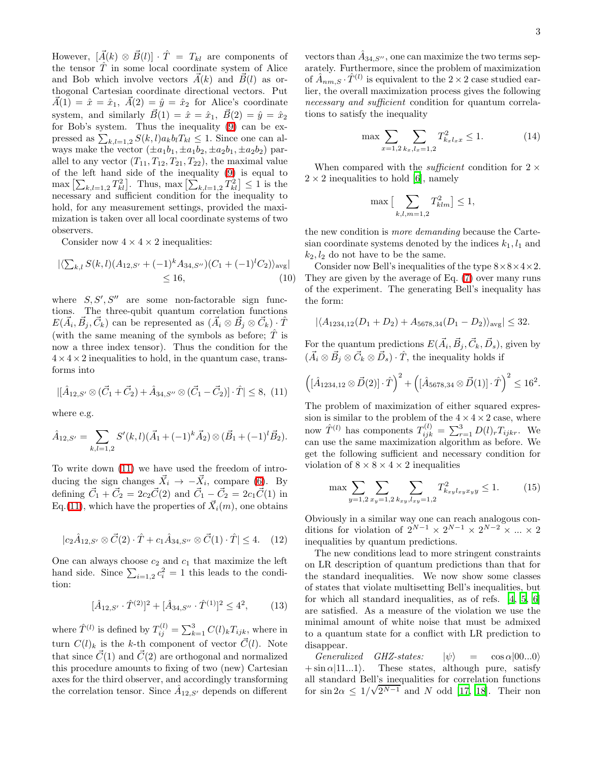However,  $[\vec{A}(k) \otimes \vec{B}(l)] \cdot \hat{T} = T_{kl}$  are components of the tensor  $\hat{T}$  in some local coordinate system of Alice and Bob which involve vectors  $\vec{A}(k)$  and  $\vec{B}(l)$  as orthogonal Cartesian coordinate directional vectors. Put  $\vec{A}(1) = \hat{x} = \hat{x}_1, \ \vec{A}(2) = \hat{y} = \hat{x}_2$  for Alice's coordinate system, and similarly  $\vec{B}(1) = \hat{x} = \hat{x}_1, \ \vec{B}(2) = \hat{y} = \hat{x}_2$ for Bob's system. Thus the inequality [\(9\)](#page-1-2) can be expressed as  $\sum_{k,l=1,2} S(k,l) a_k b_l T_{kl} \leq 1$ . Since one can always make the vector  $(\pm a_1b_1, \pm a_1b_2, \pm a_2b_1, \pm a_2b_2)$  parallel to any vector  $(T_{11}, T_{12}, T_{21}, T_{22})$ , the maximal value of the left hand side of the inequality [\(9\)](#page-1-2) is equal to  $\max \left[ \sum_{k,l=1,2} T_{kl}^2 \right]$ . Thus,  $\max \left[ \sum_{k,l=1,2} T_{kl}^2 \right] \leq 1$  is the necessary and sufficient condition for the inequality to hold, for any measurement settings, provided the maximization is taken over all local coordinate systems of two observers.

Consider now  $4 \times 4 \times 2$  inequalities:

$$
\left| \left( \sum_{k,l} S(k,l) (A_{12,S'} + (-1)^k A_{34,S''}) (C_1 + (-1)^l C_2) \right)_{\text{avg}} \right|
$$
  
\$\leq 16\$, (10)

where  $S, S', S''$  are some non-factorable sign functions. The three-qubit quantum correlation functions  $E(\vec{A}_i, \vec{B}_j, \vec{C}_k)$  can be represented as  $(\vec{A}_i \otimes \vec{B}_j \otimes \vec{C}_k) \cdot \hat{T}$ (with the same meaning of the symbols as before;  $\hat{T}$  is now a three index tensor). Thus the condition for the  $4 \times 4 \times 2$  inequalities to hold, in the quantum case, transforms into

<span id="page-2-0"></span>
$$
|[\hat{A}_{12,S'}\otimes(\vec{C}_1+\vec{C}_2)+\hat{A}_{34,S''}\otimes(\vec{C}_1-\vec{C}_2)]\cdot\hat{T}|\leq 8, (11)
$$

where e.g.

$$
\hat{A}_{12,S'} = \sum_{k,l=1,2} S'(k,l)(\vec{A}_1 + (-1)^k \vec{A}_2) \otimes (\vec{B}_1 + (-1)^l \vec{B}_2).
$$

To write down [\(11\)](#page-2-0) we have used the freedom of introducing the sign changes  $\vec{X}_i \rightarrow -\vec{X}_i$ , compare [\(6\)](#page-1-3). By defining  $\vec{C}_1 + \vec{C}_2 = 2c_2\vec{C}(2)$  and  $\vec{C}_1 - \vec{C}_2 = 2c_1\vec{C}(1)$  in Eq.[\(11\)](#page-2-0), which have the properties of  $\vec{X}_i(m)$ , one obtains

$$
|c_2\hat{A}_{12,S'}\otimes \vec{C}(2)\cdot \hat{T} + c_1\hat{A}_{34,S''}\otimes \vec{C}(1)\cdot \hat{T}| \le 4. \quad (12)
$$

One can always choose  $c_2$  and  $c_1$  that maximize the left hand side. Since  $\sum_{i=1,2} c_i^2 = 1$  this leads to the condition:

$$
[\hat{A}_{12,S'} \cdot \hat{T}^{(2)}]^2 + [\hat{A}_{34,S''} \cdot \hat{T}^{(1)}]^2 \le 4^2, \quad (13)
$$

where  $\hat{T}^{(l)}$  is defined by  $T_{ij}^{(l)} = \sum_{k=1}^{3} C(l)_{k} T_{ijk}$ , where in turn  $C(l)_k$  is the k-th component of vector  $\vec{C}(l)$ . Note that since  $\vec{C}(1)$  and  $\vec{C}(2)$  are orthogonal and normalized this procedure amounts to fixing of two (new) Cartesian axes for the third observer, and accordingly transforming the correlation tensor. Since  $\hat{A}_{12,S'}$  depends on different

vectors than  $\hat{A}_{34,S''}$ , one can maximize the two terms separately. Furthermore, since the problem of maximization of  $\hat{A}_{nm,S} \cdot \hat{T}^{(l)}$  is equivalent to the  $2 \times 2$  case studied earlier, the overall maximization process gives the following necessary and sufficient condition for quantum correlations to satisfy the inequality

$$
\max \sum_{x=1,2} \sum_{k_x, l_x=1,2} T_{k_x l_x x}^2 \le 1.
$$
 (14)

When compared with the *sufficient* condition for  $2 \times$  $2 \times 2$  inequalities to hold [\[6\]](#page-3-5), namely

$$
\max\big[\sum_{k,l,m=1,2}T_{klm}^2\big]\le 1,
$$

the new condition is more demanding because the Cartesian coordinate systems denoted by the indices  $k_1, l_1$  and  $k_2, l_2$  do not have to be the same.

Consider now Bell's inequalities of the type  $8\times8\times4\times2$ . They are given by the average of Eq. [\(7\)](#page-1-4) over many runs of the experiment. The generating Bell's inequality has the form:

$$
|\langle A_{1234,12}(D_1+D_2)+A_{5678,34}(D_1-D_2)\rangle_{\text{avg}}|\leq 32.
$$

For the quantum predictions  $E(\vec{A}_i, \vec{B}_j, \vec{C}_k, \vec{D}_s)$ , given by  $(\vec{A}_i \otimes \vec{B}_j \otimes \vec{C}_k \otimes \vec{D}_s) \cdot \hat{T}$ , the inequality holds if

$$
\left( [\hat{A}_{1234,12} \otimes \vec{D}(2)] \cdot \hat{T} \right)^2 + \left( [\hat{A}_{5678,34} \otimes \vec{D}(1)] \cdot \hat{T} \right)^2 \le 16^2.
$$

The problem of maximization of either squared expression is similar to the problem of the  $4 \times 4 \times 2$  case, where now  $\hat{T}^{(l)}$  has components  $T_{ijk}^{(l)} = \sum_{r=1}^{3} D(l)_r T_{ijkr}$ . We can use the same maximization algorithm as before. We get the following sufficient and necessary condition for violation of  $8 \times 8 \times 4 \times 2$  inequalities

<span id="page-2-1"></span>
$$
\max \sum_{y=1,2} \sum_{x_y=1,2} \sum_{k_{xy},l_{xy}=1,2} T_{k_{xy}l_{xy}x_yy}^2 \le 1.
$$
 (15)

Obviously in a similar way one can reach analogous conditions for violation of  $2^{N-1} \times 2^{N-1} \times 2^{N-2} \times ... \times 2$ inequalities by quantum predictions.

The new conditions lead to more stringent constraints on LR description of quantum predictions than that for the standard inequalities. We now show some classes of states that violate multisetting Bell's inequalities, but for which all standard inequalities, as of refs. [\[4,](#page-3-3) [5](#page-3-4), [6](#page-3-5)] are satisfied. As a measure of the violation we use the minimal amount of white noise that must be admixed to a quantum state for a conflict with LR prediction to disappear.

Generalized GHZ-states:  $|\psi\rangle$  =  $\cos \alpha |00...0\rangle$ <br>+ sin  $\alpha |11...1\rangle$ . These states, although pure, satisfy These states, although pure, satisfy all standard Bell's inequalities for correlation functions for sin  $2\alpha \leq 1/\sqrt{2^{N-1}}$  and N odd [\[17,](#page-3-16) [18\]](#page-4-0). Their non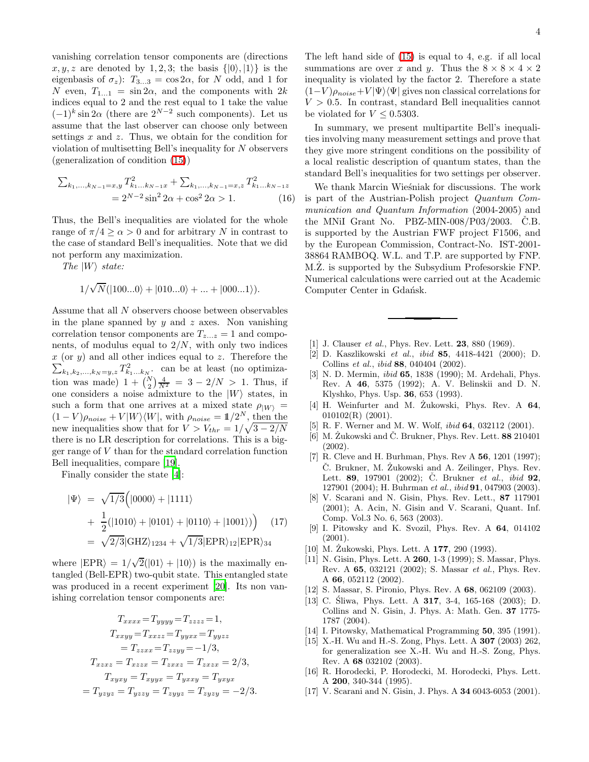vanishing correlation tensor components are (directions  $x, y, z$  are denoted by 1, 2, 3; the basis  $\{|0\rangle, |1\rangle\}$  is the eigenbasis of  $\sigma_z$ ):  $T_{3...3} = \cos 2\alpha$ , for N odd, and 1 for N even,  $T_{1...1} = \sin 2\alpha$ , and the components with  $2k$ indices equal to 2 and the rest equal to 1 take the value  $(-1)^k \sin 2\alpha$  (there are  $2^{N-2}$  such components). Let us assume that the last observer can choose only between settings  $x$  and  $z$ . Thus, we obtain for the condition for violation of multisetting Bell's inequality for N observers (generalization of condition [\(15\)](#page-2-1))

$$
\sum_{k_1,\dots,k_{N-1}=x,y} T_{k_1\dots k_{N-1}x}^2 + \sum_{k_1,\dots,k_{N-1}=x,z} T_{k_1\dots k_{N-1}z}^2
$$
  
=  $2^{N-2} \sin^2 2\alpha + \cos^2 2\alpha > 1.$  (16)

Thus, the Bell's inequalities are violated for the whole range of  $\pi/4 \ge \alpha > 0$  and for arbitrary N in contrast to the case of standard Bell's inequalities. Note that we did not perform any maximization.

The  $|W\rangle$  state:

$$
1/\sqrt{N}(|100...0\rangle + |010...0\rangle + ... + |000...1\rangle).
$$

Assume that all N observers choose between observables in the plane spanned by  $y$  and  $z$  axes. Non vanishing correlation tensor components are  $T_{z...z} = 1$  and components, of modulus equal to  $2/N$ , with only two indices  $\sum_{k_1,k_2,\dots,k_N=y,z} T_{k_1\dots k_N}^2$ . can be at least (no optimiza $x$  (or  $y$ ) and all other indices equal to z. Therefore the tion was made)  $1 + {N \choose 2} \frac{4}{N^2} = 3 - 2/N > 1$ . Thus, if one considers a noise admixture to the  $|W\rangle$  states, in such a form that one arrives at a mixed state  $\rho_{|W\rangle} =$  $(1 - V)\rho_{noise} + V|W\rangle\langle W|$ , with  $\rho_{noise} = \mathbb{1}/2^N$ , then the new inequalities show that for  $V > V_{thr} = 1/\sqrt{3 - 2/N}$ there is no LR description for correlations. This is a bigger range of V than for the standard correlation function Bell inequalities, compare [\[19](#page-4-1)].

Finally consider the state [\[4\]](#page-3-3):

$$
|\Psi\rangle = \sqrt{1/3} (|0000\rangle + |1111\rangle + \frac{1}{2} (|1010\rangle + |0101\rangle + |0110\rangle + |1001\rangle)) \qquad (17) = \sqrt{2/3} |GHZ\rangle_{1234} + \sqrt{1/3} |EPR\rangle_{12} |EPR\rangle_{34}
$$

where  $|EPR\rangle = 1/\sqrt{2}(|01\rangle + |10\rangle)$  is the maximally entangled (Bell-EPR) two-qubit state. This entangled state was produced in a recent experiment [\[20\]](#page-4-2). Its non vanishing correlation tensor components are:

$$
T_{xxxx} = T_{yyyy} = T_{zzzz} = 1,
$$
  
\n
$$
T_{xxyy} = T_{xxzz} = T_{yyxx} = T_{yyzz}
$$
  
\n
$$
= T_{zzxx} = T_{zzyy} = -1/3,
$$
  
\n
$$
T_{xzxz} = T_{xzxz} = T_{zxzx} = 2/3,
$$
  
\n
$$
T_{xyxy} = T_{xyyx} = T_{yxyx} = T_{yyxy}
$$
  
\n
$$
= T_{yzyz} = T_{zyzy} = T_{zyyz} = T_{zyzy} = -2/3.
$$

The left hand side of [\(15\)](#page-2-1) is equal to 4, e.g. if all local summations are over x and y. Thus the  $8 \times 8 \times 4 \times 2$ inequality is violated by the factor 2. Therefore a state  $(1-V)\rho_{noise}+V|\Psi\rangle\langle\Psi|$  gives non classical correlations for  $V > 0.5$ . In contrast, standard Bell inequalities cannot be violated for  $V \leq 0.5303$ .

In summary, we present multipartite Bell's inequalities involving many measurement settings and prove that they give more stringent conditions on the possibility of a local realistic description of quantum states, than the standard Bell's inequalities for two settings per observer.

We thank Marcin Wieśniak for discussions. The work is part of the Austrian-Polish project Quantum Communication and Quantum Information (2004-2005) and the MNiI Grant No.  $PBZ-MIN-008/P03/2003$ . Č.B. is supported by the Austrian FWF project F1506, and by the European Commission, Contract-No. IST-2001- 38864 RAMBOQ. W.L. and T.P. are supported by FNP. M.Z. is supported by the Subsydium Profesorskie FNP. Numerical calculations were carried out at the Academic Computer Center in Gdańsk.

- <span id="page-3-0"></span>[1] J. Clauser *et al.*, Phys. Rev. Lett. **23**, 880 (1969).
- <span id="page-3-1"></span>[2] D. Kaszlikowski et al., ibid 85, 4418-4421 (2000); D. Collins et al., ibid 88, 040404 (2002).
- <span id="page-3-2"></span>[3] N. D. Mermin, ibid 65, 1838 (1990); M. Ardehali, Phys. Rev. A 46, 5375 (1992); A. V. Belinskii and D. N. Klyshko, Phys. Usp. 36, 653 (1993).
- <span id="page-3-3"></span>[4] H. Weinfurter and M. Zukowski, Phys. Rev. A  $64$ ,  $010102(R)$  (2001).
- <span id="page-3-4"></span>[5] R. F. Werner and M. W. Wolf, ibid 64, 032112 (2001).
- <span id="page-3-5"></span>[6] M. Zukowski and  $\dot{C}$ . Brukner, Phys. Rev. Lett. 88 210401 (2002).
- <span id="page-3-6"></span>[7] R. Cleve and H. Burhman, Phys. Rev A **56**, 1201 (1997); Č. Brukner, M. Żukowski and A. Zeilinger, Phys. Rev. Lett. 89, 197901 (2002); Č. Brukner *et al.*, *ibid* 92, 127901 (2004); H. Buhrman et al., ibid 91, 047903 (2003).
- <span id="page-3-7"></span>[8] V. Scarani and N. Gisin, Phys. Rev. Lett., 87 117901 (2001); A. Acin, N. Gisin and V. Scarani, Quant. Inf. Comp. Vol.3 No. 6, 563 (2003).
- <span id="page-3-8"></span>[9] I. Pitowsky and K. Svozil, Phys. Rev. A 64, 014102 (2001).
- <span id="page-3-9"></span>[10] M. Żukowski, Phys. Lett. A  $177$ , 290 (1993).
- <span id="page-3-10"></span>[11] N. Gisin, Phys. Lett. A **260**, 1-3 (1999); S. Massar, Phys. Rev. A 65, 032121 (2002); S. Massar et al., Phys. Rev. A 66, 052112 (2002).
- <span id="page-3-11"></span>[12] S. Massar, S. Pironio, Phys. Rev. A 68, 062109 (2003).
- <span id="page-3-12"></span>[13] C. Śliwa, Phys. Lett. A  $317$ , 3-4, 165-168 (2003); D. Collins and N. Gisin, J. Phys. A: Math. Gen. 37 1775- 1787 (2004).
- <span id="page-3-13"></span>[14] I. Pitowsky, Mathematical Programming 50, 395 (1991).
- <span id="page-3-14"></span>[15] X.-H. Wu and H.-S. Zong, Phys. Lett. A 307 (2003) 262, for generalization see X.-H. Wu and H.-S. Zong, Phys. Rev. A 68 032102 (2003).
- <span id="page-3-15"></span>[16] R. Horodecki, P. Horodecki, M. Horodecki, Phys. Lett. A 200, 340-344 (1995).
- <span id="page-3-16"></span>[17] V. Scarani and N. Gisin, J. Phys. A **34** 6043-6053 (2001).